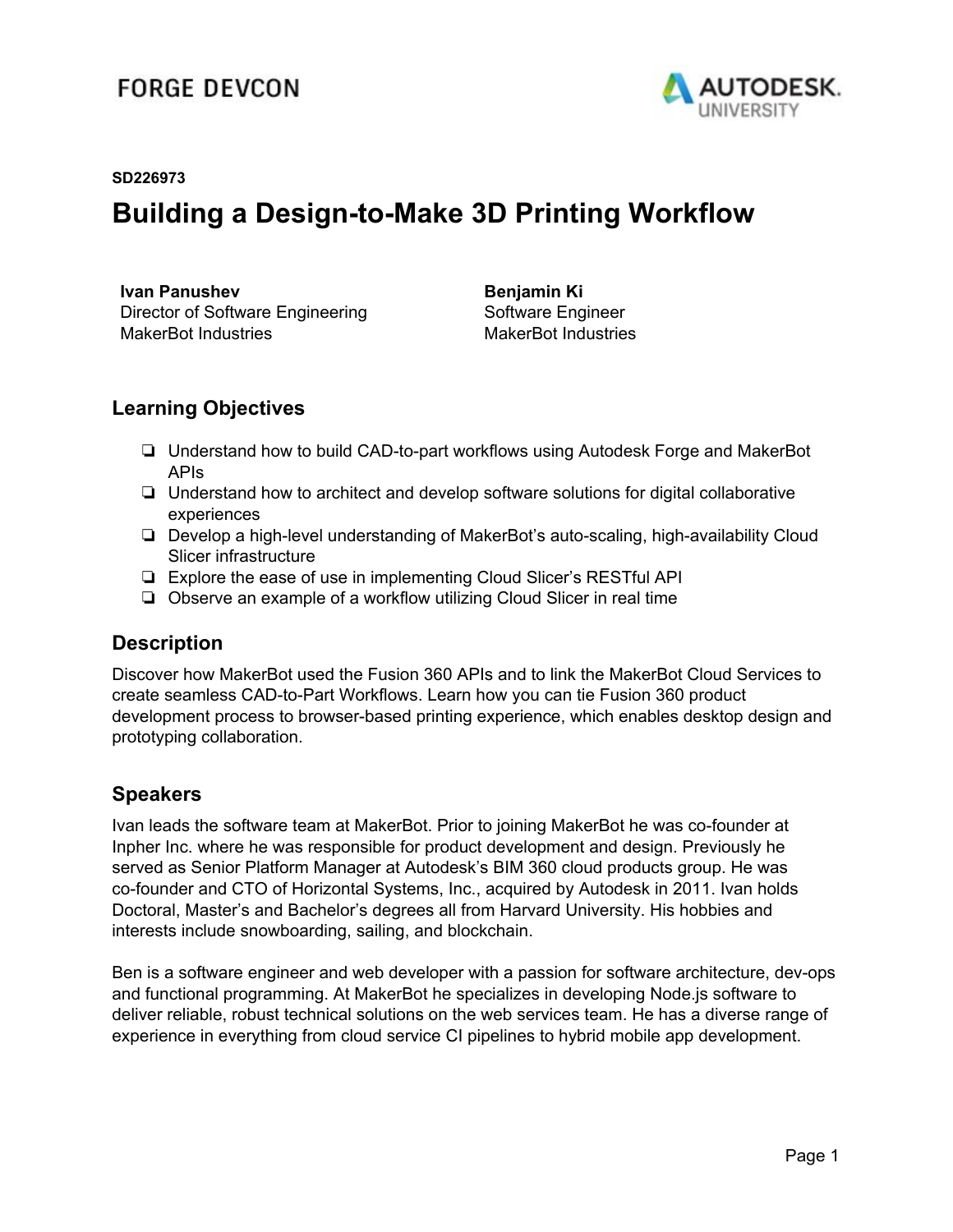#### **FORGE DEVCON**



#### **SD226973**

#### **Building a Design-to-Make 3D Printing Workflow**

**Ivan Panushev** Director of Software Engineering MakerBot Industries

**Benjamin Ki** Software Engineer MakerBot Industries

#### **Learning Objectives**

- ❏ Understand how to build CAD-to-part workflows using Autodesk Forge and MakerBot APIs
- ❏ Understand how to architect and develop software solutions for digital collaborative experiences
- ❏ Develop a high-level understanding of MakerBot's auto-scaling, high-availability Cloud Slicer infrastructure
- ❏ Explore the ease of use in implementing Cloud Slicer's RESTful API
- ❏ Observe an example of a workflow utilizing Cloud Slicer in real time

#### **Description**

Discover how MakerBot used the Fusion 360 APIs and to link the MakerBot Cloud Services to create seamless CAD-to-Part Workflows. Learn how you can tie Fusion 360 product development process to browser-based printing experience, which enables desktop design and prototyping collaboration.

#### **Speakers**

Ivan leads the software team at MakerBot. Prior to joining MakerBot he was co-founder at Inpher Inc. where he was responsible for product development and design. Previously he served as Senior Platform Manager at Autodesk's BIM 360 cloud products group. He was co-founder and CTO of Horizontal Systems, Inc., acquired by Autodesk in 2011. Ivan holds Doctoral, Master's and Bachelor's degrees all from Harvard University. His hobbies and interests include snowboarding, sailing, and blockchain.

Ben is a software engineer and web developer with a passion for software architecture, dev-ops and functional programming. At MakerBot he specializes in developing Node.js software to deliver reliable, robust technical solutions on the web services team. He has a diverse range of experience in everything from cloud service CI pipelines to hybrid mobile app development.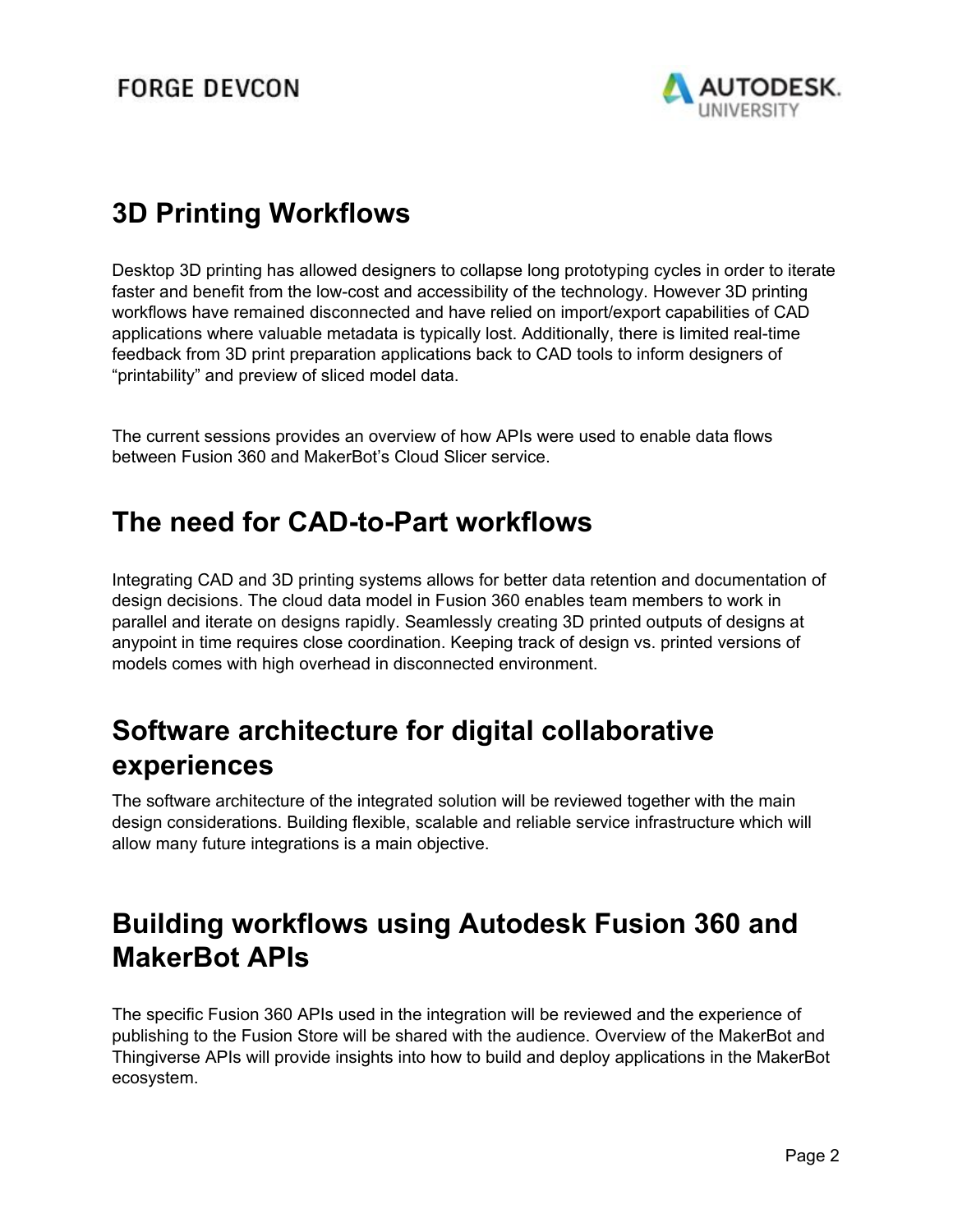

# **3D Printing Workflows**

Desktop 3D printing has allowed designers to collapse long prototyping cycles in order to iterate faster and benefit from the low-cost and accessibility of the technology. However 3D printing workflows have remained disconnected and have relied on import/export capabilities of CAD applications where valuable metadata is typically lost. Additionally, there is limited real-time feedback from 3D print preparation applications back to CAD tools to inform designers of "printability" and preview of sliced model data.

The current sessions provides an overview of how APIs were used to enable data flows between Fusion 360 and MakerBot's Cloud Slicer service.

### **The need for CAD-to-Part workflows**

Integrating CAD and 3D printing systems allows for better data retention and documentation of design decisions. The cloud data model in Fusion 360 enables team members to work in parallel and iterate on designs rapidly. Seamlessly creating 3D printed outputs of designs at anypoint in time requires close coordination. Keeping track of design vs. printed versions of models comes with high overhead in disconnected environment.

### **Software architecture for digital collaborative experiences**

The software architecture of the integrated solution will be reviewed together with the main design considerations. Building flexible, scalable and reliable service infrastructure which will allow many future integrations is a main objective.

# **Building workflows using Autodesk Fusion 360 and MakerBot APIs**

The specific Fusion 360 APIs used in the integration will be reviewed and the experience of publishing to the Fusion Store will be shared with the audience. Overview of the MakerBot and Thingiverse APIs will provide insights into how to build and deploy applications in the MakerBot ecosystem.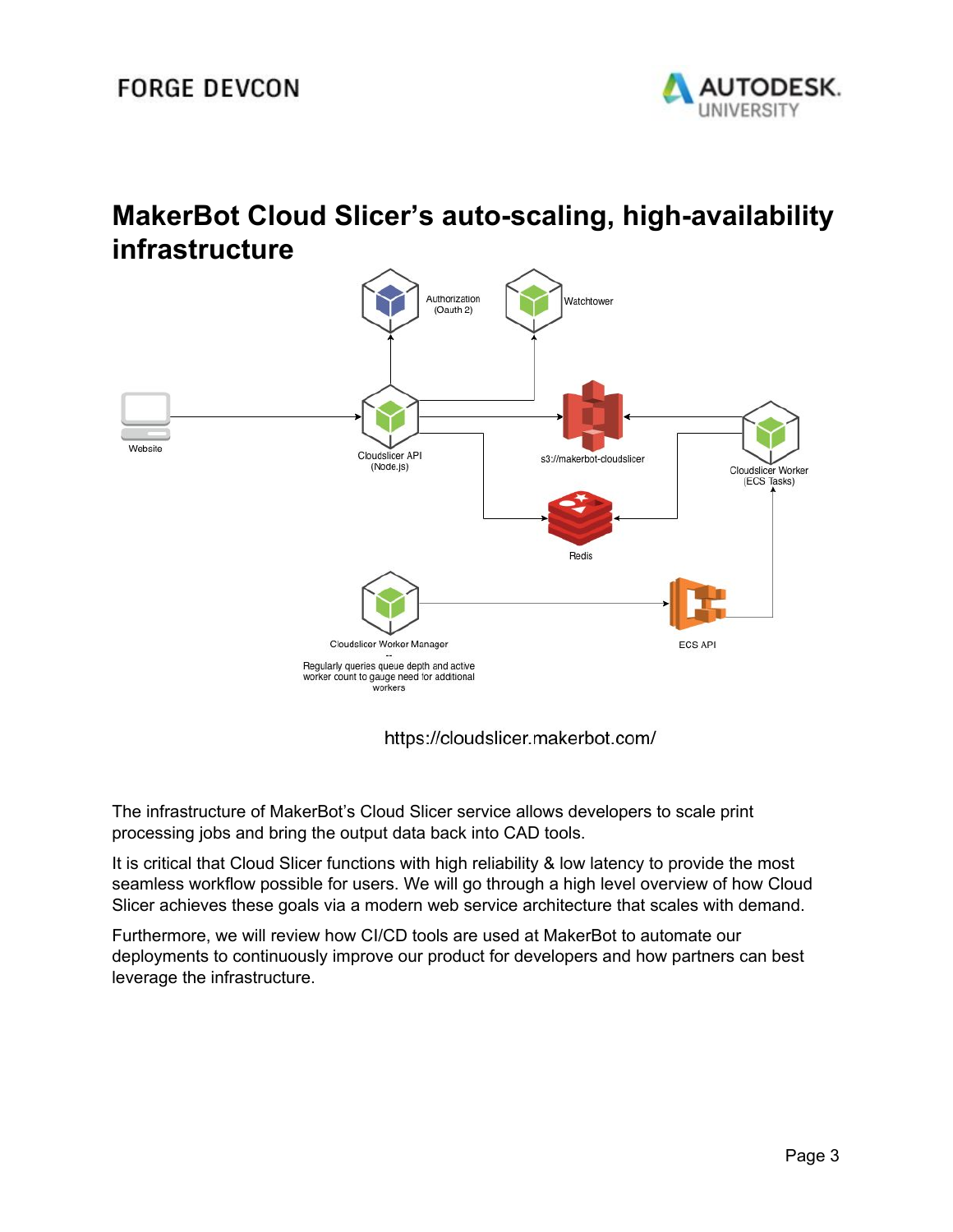

### **MakerBot Cloud Slicer's auto-scaling, high-availability infrastructure**



https://cloudslicer.makerbot.com/

The infrastructure of MakerBot's Cloud Slicer service allows developers to scale print processing jobs and bring the output data back into CAD tools.

It is critical that Cloud Slicer functions with high reliability & low latency to provide the most seamless workflow possible for users. We will go through a high level overview of how Cloud Slicer achieves these goals via a modern web service architecture that scales with demand.

Furthermore, we will review how CI/CD tools are used at MakerBot to automate our deployments to continuously improve our product for developers and how partners can best leverage the infrastructure.